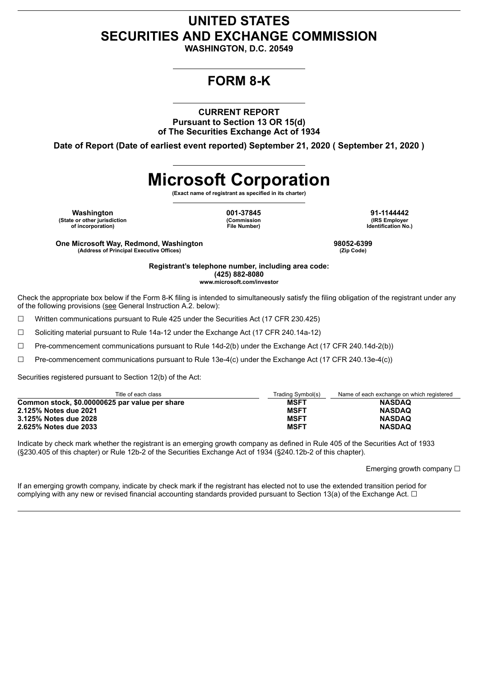## **UNITED STATES SECURITIES AND EXCHANGE COMMISSION**

**WASHINGTON, D.C. 20549**

## **FORM 8-K**

**CURRENT REPORT Pursuant to Section 13 OR 15(d) of The Securities Exchange Act of 1934**

**Date of Report (Date of earliest event reported) September 21, 2020 ( September 21, 2020 )**

# **Microsoft Corporation**

**(Exact name of registrant as specified in its charter)**

**Washington 001-37845 91-1144442 (State or other jurisdiction of incorporation)**

**(Commission File Number)**

**(IRS Employer Identification No.)**

**One Microsoft Way, Redmond, Washington 98052-6399 (Address of Principal Executive Offices)** 

**Registrant's telephone number, including area code: (425) 882-8080 www.microsoft.com/investor**

Check the appropriate box below if the Form 8-K filing is intended to simultaneously satisfy the filing obligation of the registrant under any of the following provisions (see General Instruction A.2. below):

☐ Written communications pursuant to Rule 425 under the Securities Act (17 CFR 230.425)

☐ Soliciting material pursuant to Rule 14a-12 under the Exchange Act (17 CFR 240.14a-12)

☐ Pre-commencement communications pursuant to Rule 14d-2(b) under the Exchange Act (17 CFR 240.14d-2(b))

☐ Pre-commencement communications pursuant to Rule 13e-4(c) under the Exchange Act (17 CFR 240.13e-4(c))

Securities registered pursuant to Section 12(b) of the Act:

| Title of each class                            | Trading Symbol(s) | Name of each exchange on which registered |
|------------------------------------------------|-------------------|-------------------------------------------|
| Common stock, \$0.00000625 par value per share | <b>MSFT</b>       | <b>NASDAQ</b>                             |
| 2.125% Notes due 2021                          | <b>MSFT</b>       | <b>NASDAQ</b>                             |
| 3.125% Notes due 2028                          | <b>MSFT</b>       | <b>NASDAQ</b>                             |
| 2.625% Notes due 2033                          | <b>MSFT</b>       | <b>NASDAQ</b>                             |

Indicate by check mark whether the registrant is an emerging growth company as defined in Rule 405 of the Securities Act of 1933 (§230.405 of this chapter) or Rule 12b-2 of the Securities Exchange Act of 1934 (§240.12b-2 of this chapter).

Emerging growth company □

If an emerging growth company, indicate by check mark if the registrant has elected not to use the extended transition period for complying with any new or revised financial accounting standards provided pursuant to Section 13(a) of the Exchange Act.  $\Box$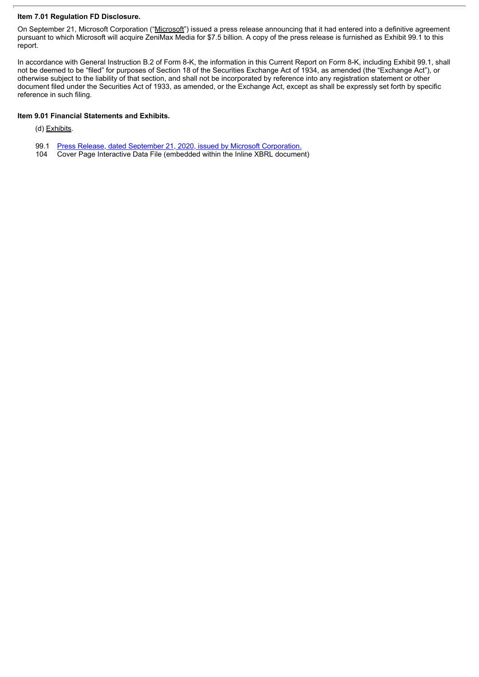#### **Item 7.01 Regulation FD Disclosure.**

On September 21, Microsoft Corporation ("Microsoft") issued a press release announcing that it had entered into a definitive agreement pursuant to which Microsoft will acquire ZeniMax Media for \$7.5 billion. A copy of the press release is furnished as Exhibit 99.1 to this report.

In accordance with General Instruction B.2 of Form 8-K, the information in this Current Report on Form 8-K, including Exhibit 99.1, shall not be deemed to be "filed" for purposes of Section 18 of the Securities Exchange Act of 1934, as amended (the "Exchange Act"), or otherwise subject to the liability of that section, and shall not be incorporated by reference into any registration statement or other document filed under the Securities Act of 1933, as amended, or the Exchange Act, except as shall be expressly set forth by specific reference in such filing.

#### **Item 9.01 Financial Statements and Exhibits.**

(d) Exhibits.

- 99.1 Press Release, dated September 21, 2020, issued by Microsoft [Corporation.](#page-3-0)<br>104 Cover Page Interactive Data File (embedded within the Inline XBRL documer
- Cover Page Interactive Data File (embedded within the Inline XBRL document)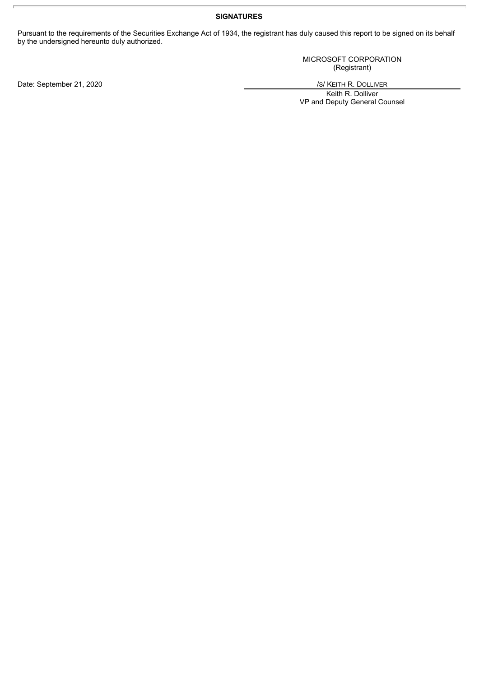#### **SIGNATURES**

Pursuant to the requirements of the Securities Exchange Act of 1934, the registrant has duly caused this report to be signed on its behalf by the undersigned hereunto duly authorized.

> MICROSOFT CORPORATION (Registrant)

Keith R. Dolliver VP and Deputy General Counsel

Date: September 21, 2020 */S/ KEITH R. DOLLIVER*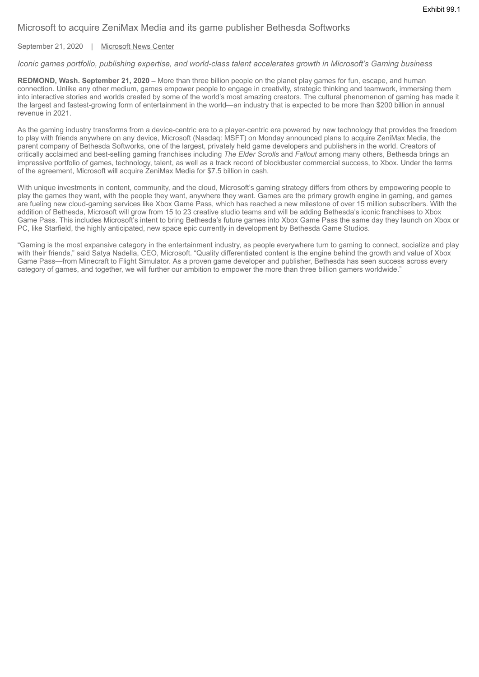### <span id="page-3-0"></span>Microsoft to acquire ZeniMax Media and its game publisher Bethesda Softworks

September 21, 2020 | Microsoft News Center

#### *Iconic games portfolio, publishing expertise, and world-class talent accelerates growth in Microsoft's Gaming business*

**REDMOND, Wash. September 21, 2020 –** More than three billion people on the planet play games for fun, escape, and human connection. Unlike any other medium, games empower people to engage in creativity, strategic thinking and teamwork, immersing them into interactive stories and worlds created by some of the world's most amazing creators. The cultural phenomenon of gaming has made it the largest and fastest-growing form of entertainment in the world—an industry that is expected to be more than \$200 billion in annual revenue in 2021.

As the gaming industry transforms from a device-centric era to a player-centric era powered by new technology that provides the freedom to play with friends anywhere on any device, Microsoft (Nasdaq: MSFT) on Monday announced plans to acquire ZeniMax Media, the parent company of Bethesda Softworks, one of the largest, privately held game developers and publishers in the world. Creators of critically acclaimed and best-selling gaming franchises including *The Elder Scrolls* and *Fallout* among many others, Bethesda brings an impressive portfolio of games, technology, talent, as well as a track record of blockbuster commercial success, to Xbox. Under the terms of the agreement, Microsoft will acquire ZeniMax Media for \$7.5 billion in cash.

With unique investments in content, community, and the cloud. Microsoft's gaming strategy differs from others by empowering people to play the games they want, with the people they want, anywhere they want. Games are the primary growth engine in gaming, and games are fueling new cloud-gaming services like Xbox Game Pass, which has reached a new milestone of over 15 million subscribers. With the addition of Bethesda, Microsoft will grow from 15 to 23 creative studio teams and will be adding Bethesda's iconic franchises to Xbox Game Pass. This includes Microsoft's intent to bring Bethesda's future games into Xbox Game Pass the same day they launch on Xbox or PC, like Starfield, the highly anticipated, new space epic currently in development by Bethesda Game Studios.

"Gaming is the most expansive category in the entertainment industry, as people everywhere turn to gaming to connect, socialize and play with their friends," said Satya Nadella, CEO, Microsoft. "Quality differentiated content is the engine behind the growth and value of Xbox Game Pass—from Minecraft to Flight Simulator. As a proven game developer and publisher, Bethesda has seen success across every category of games, and together, we will further our ambition to empower the more than three billion gamers worldwide."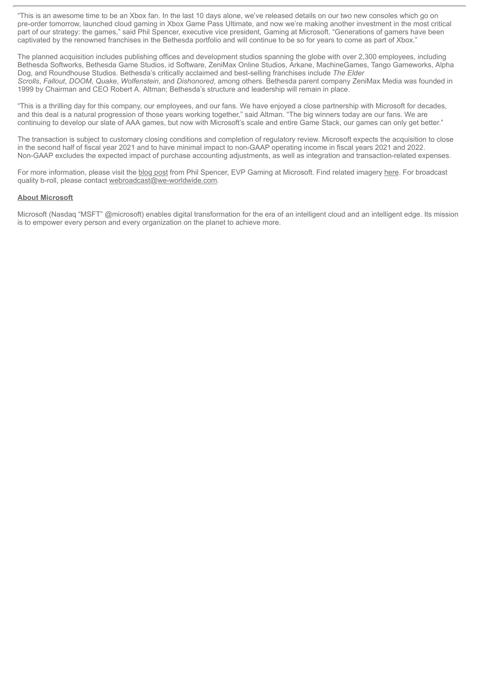"This is an awesome time to be an Xbox fan. In the last 10 days alone, we've released details on our two new consoles which go on pre-order tomorrow, launched cloud gaming in Xbox Game Pass Ultimate, and now we're making another investment in the most critical part of our strategy: the games," said Phil Spencer, executive vice president, Gaming at Microsoft. "Generations of gamers have been captivated by the renowned franchises in the Bethesda portfolio and will continue to be so for years to come as part of Xbox."

The planned acquisition includes publishing offices and development studios spanning the globe with over 2,300 employees, including Bethesda Softworks, Bethesda Game Studios, id Software, ZeniMax Online Studios, Arkane, MachineGames, Tango Gameworks, Alpha Dog, and Roundhouse Studios. Bethesda's critically acclaimed and best-selling franchises include *The Elder Scrolls*, *Fallout*, *DOOM*, *Quake*, *Wolfenstein*, and *Dishonored*, among others. Bethesda parent company ZeniMax Media was founded in 1999 by Chairman and CEO Robert A. Altman; Bethesda's structure and leadership will remain in place.

"This is a thrilling day for this company, our employees, and our fans. We have enjoyed a close partnership with Microsoft for decades, and this deal is a natural progression of those years working together," said Altman. "The big winners today are our fans. We are continuing to develop our slate of AAA games, but now with Microsoft's scale and entire Game Stack, our games can only get better."

The transaction is subject to customary closing conditions and completion of regulatory review. Microsoft expects the acquisition to close in the second half of fiscal year 2021 and to have minimal impact to non-GAAP operating income in fiscal years 2021 and 2022. Non-GAAP excludes the expected impact of purchase accounting adjustments, as well as integration and transaction-related expenses.

For more information, please visit the blog post from Phil Spencer, EVP Gaming at Microsoft. Find related imagery here. For broadcast quality b-roll, please contact webroadcast@we-worldwide.com.

#### **About Microsoft**

Microsoft (Nasdaq "MSFT" @microsoft) enables digital transformation for the era of an intelligent cloud and an intelligent edge. Its mission is to empower every person and every organization on the planet to achieve more.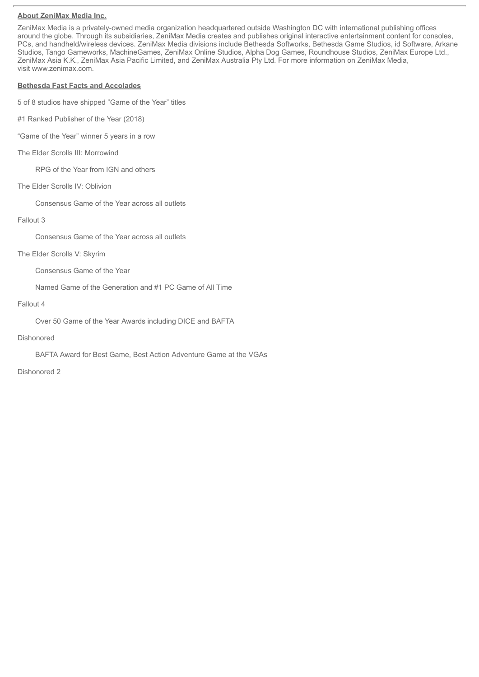#### **About ZeniMax Media Inc.**

ZeniMax Media is a privately-owned media organization headquartered outside Washington DC with international publishing offices around the globe. Through its subsidiaries, ZeniMax Media creates and publishes original interactive entertainment content for consoles, PCs, and handheld/wireless devices. ZeniMax Media divisions include Bethesda Softworks, Bethesda Game Studios, id Software, Arkane Studios, Tango Gameworks, MachineGames, ZeniMax Online Studios, Alpha Dog Games, Roundhouse Studios, ZeniMax Europe Ltd., ZeniMax Asia K.K., ZeniMax Asia Pacific Limited, and ZeniMax Australia Pty Ltd. For more information on ZeniMax Media, visit www.zenimax.com.

#### **Bethesda Fast Facts and Accolades**

5 of 8 studios have shipped "Game of the Year" titles

- #1 Ranked Publisher of the Year (2018)
- "Game of the Year" winner 5 years in a row
- The Elder Scrolls III: Morrowind

RPG of the Year from IGN and others

The Elder Scrolls IV: Oblivion

Consensus Game of the Year across all outlets

#### Fallout 3

Consensus Game of the Year across all outlets

The Elder Scrolls V: Skyrim

Consensus Game of the Year

Named Game of the Generation and #1 PC Game of All Time

#### Fallout 4

Over 50 Game of the Year Awards including DICE and BAFTA

#### Dishonored

BAFTA Award for Best Game, Best Action Adventure Game at the VGAs

Dishonored 2